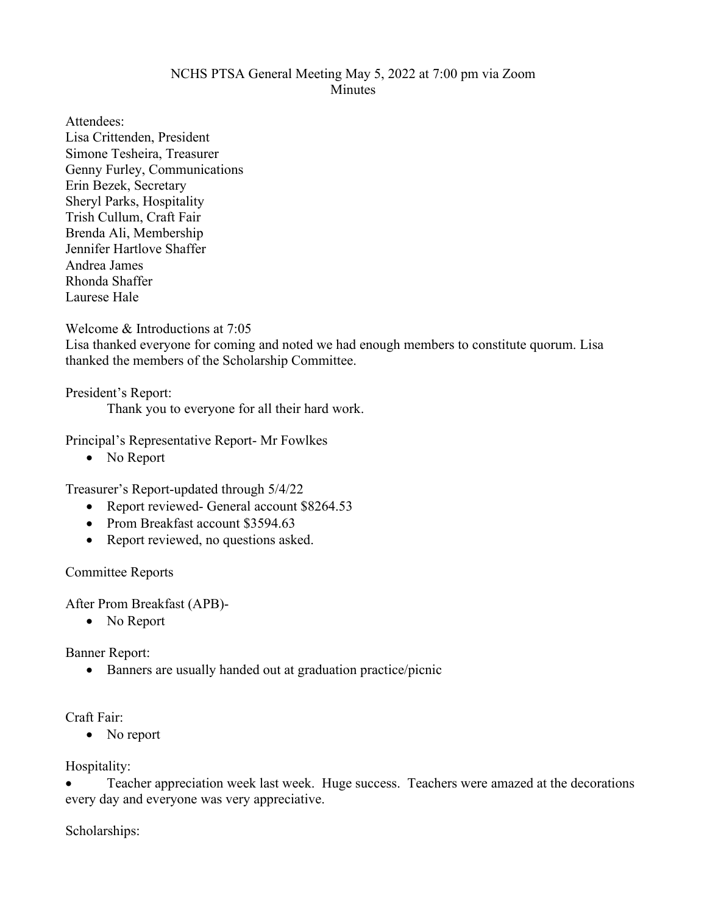## NCHS PTSA General Meeting May 5, 2022 at 7:00 pm via Zoom **Minutes**

Attendees: Lisa Crittenden, President Simone Tesheira, Treasurer Genny Furley, Communications Erin Bezek, Secretary Sheryl Parks, Hospitality Trish Cullum, Craft Fair Brenda Ali, Membership Jennifer Hartlove Shaffer Andrea James Rhonda Shaffer Laurese Hale

Welcome & Introductions at 7:05

Lisa thanked everyone for coming and noted we had enough members to constitute quorum. Lisa thanked the members of the Scholarship Committee.

President's Report:

Thank you to everyone for all their hard work.

Principal's Representative Report- Mr Fowlkes

• No Report

Treasurer's Report-updated through 5/4/22

- Report reviewed- General account \$8264.53
- Prom Breakfast account \$3594.63
- Report reviewed, no questions asked.

Committee Reports

After Prom Breakfast (APB)-

• No Report

Banner Report:

• Banners are usually handed out at graduation practice/picnic

Craft Fair:

• No report

Hospitality:

• Teacher appreciation week last week. Huge success. Teachers were amazed at the decorations every day and everyone was very appreciative.

Scholarships: